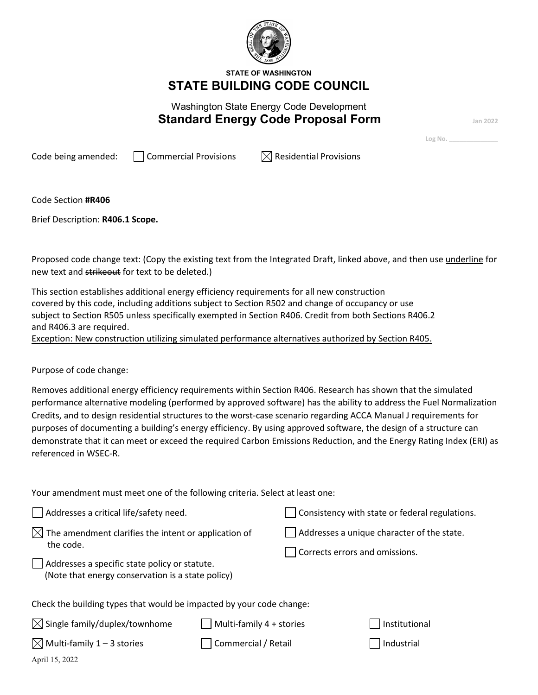

**STATE OF WASHINGTON STATE BUILDING CODE COUNCIL**

# Washington State Energy Code Development **Standard Energy Code Proposal Form**

**Log No. \_\_\_\_\_\_\_\_\_\_\_\_\_\_**

Code being amended:  $\Box$  Commercial Provisions  $\Box$  Residential Provisions

Code Section **#R406**

Brief Description: **R406.1 Scope.**

Proposed code change text: (Copy the existing text from the Integrated Draft, linked above, and then use *underline* for new text and strikeout for text to be deleted.)

This section establishes additional energy efficiency requirements for all new construction covered by this code, including additions subject to Section R502 and change of occupancy or use subject to Section R505 unless specifically exempted in Section R406. Credit from both Sections R406.2 and R406.3 are required.

Exception: New construction utilizing simulated performance alternatives authorized by Section R405.

Purpose of code change:

Removes additional energy efficiency requirements within Section R406. Research has shown that the simulated performance alternative modeling (performed by approved software) has the ability to address the Fuel Normalization Credits, and to design residential structures to the worst-case scenario regarding ACCA Manual J requirements for purposes of documenting a building's energy efficiency. By using approved software, the design of a structure can demonstrate that it can meet or exceed the required Carbon Emissions Reduction, and the Energy Rating Index (ERI) as referenced in WSEC-R.

Your amendment must meet one of the following criteria. Select at least one:

| Addresses a critical life/safety need.                                                                                 | Consistency with state or federal regulations. |                                            |               |  |  |  |  |
|------------------------------------------------------------------------------------------------------------------------|------------------------------------------------|--------------------------------------------|---------------|--|--|--|--|
| $\boxtimes$ The amendment clarifies the intent or application of                                                       |                                                | Addresses a unique character of the state. |               |  |  |  |  |
| the code.<br>$\Box$ Addresses a specific state policy or statute.<br>(Note that energy conservation is a state policy) |                                                | Corrects errors and omissions.             |               |  |  |  |  |
| Check the building types that would be impacted by your code change:                                                   |                                                |                                            |               |  |  |  |  |
| $\boxtimes$ Single family/duplex/townhome                                                                              | Multi-family 4 + stories                       |                                            | Institutional |  |  |  |  |
| $\boxtimes$ Multi-family 1 – 3 stories                                                                                 | Commercial / Retail                            |                                            | Industrial    |  |  |  |  |
|                                                                                                                        |                                                |                                            |               |  |  |  |  |

April 15, 2022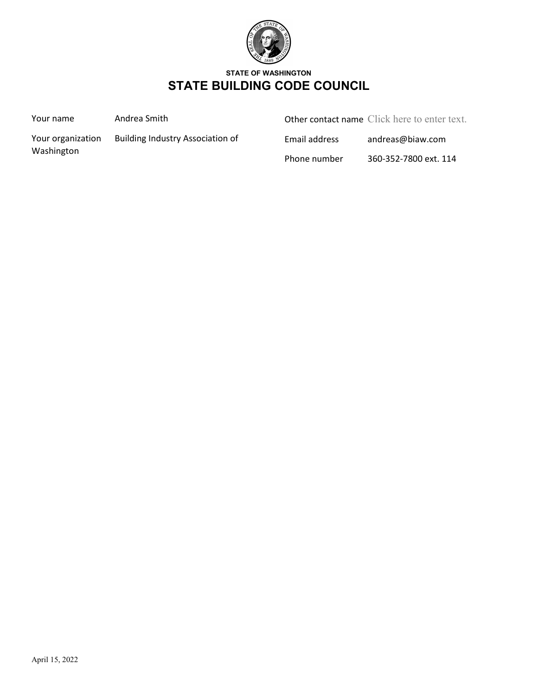

## **STATE OF WASHINGTON STATE BUILDING CODE COUNCIL**

Your name **Andrea Smith** 

Other contact name Click here to enter text.

Washington

Your organization Building Industry Association of

Email address andreas@biaw.com

Phone number 360-352-7800 ext. 114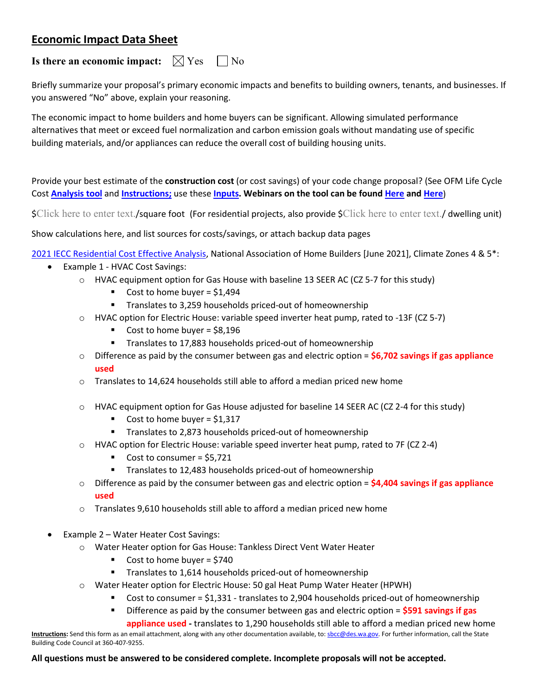## **Economic Impact Data Sheet**

## **Is there an economic impact:**  $\boxtimes$  Yes  $\Box$  No

Briefly summarize your proposal's primary economic impacts and benefits to building owners, tenants, and businesses. If you answered "No" above, explain your reasoning.

The economic impact to home builders and home buyers can be significant. Allowing simulated performance alternatives that meet or exceed fuel normalization and carbon emission goals without mandating use of specific building materials, and/or appliances can reduce the overall cost of building housing units.

Provide your best estimate of the **construction cost** (or cost savings) of your code change proposal? (See OFM Life Cycle Cost **[Analysis tool](https://ofm.wa.gov/sites/default/files/public/budget/forms/LifeCycleCostTool.xlsb)** and **[Instructions;](https://sbcc.wa.gov/sites/default/files/2021-04/lifecyclecosttoolinstructions.pdf)** use these **[Inputs.](https://sbcc.wa.gov/sites/default/files/2021-04/Methodology%20_Cost%20_Benefits%20_NRGCodeChanges_1_22_19.pdf) Webinars on the tool can be found [Here](https://vimeo.com/album/3598715) and [Here](https://vimeo.com/album/3462314)**)

\$Click here to enter text./square foot (For residential projects, also provide \$Click here to enter text./ dwelling unit)

Show calculations here, and list sources for costs/savings, or attach backup data pages

[2021 IECC Residential Cost Effective Analysis,](https://www.nahb.org/-/media/NAHB/advocacy/docs/top-priorities/codes/code-adoption/2021-iecc-cost-effectiveness-analysis-hirl.pdf) National Association of Home Builders [June 2021], Climate Zones 4 & 5\*:

- Example 1 HVAC Cost Savings:
	- o HVAC equipment option for Gas House with baseline 13 SEER AC (CZ 5-7 for this study)
		- Cost to home buyer =  $$1,494$
		- **Translates to 3,259 households priced-out of homeownership**
	- o HVAC option for Electric House: variable speed inverter heat pump, rated to -13F (CZ 5-7)
		- Cost to home buyer =  $$8,196$
		- **Translates to 17,883 households priced-out of homeownership**
	- o Difference as paid by the consumer between gas and electric option = **\$6,702 savings if gas appliance used**
	- o Translates to 14,624 households still able to afford a median priced new home
	- $\circ$  HVAC equipment option for Gas House adjusted for baseline 14 SEER AC (CZ 2-4 for this study)
		- Cost to home buyer =  $$1,317$
		- **Translates to 2,873 households priced-out of homeownership**
	- $\circ$  HVAC option for Electric House: variable speed inverter heat pump, rated to 7F (CZ 2-4)
		- Cost to consumer =  $$5,721$
		- **Translates to 12,483 households priced-out of homeownership**
	- o Difference as paid by the consumer between gas and electric option = **\$4,404 savings if gas appliance used**
	- $\circ$  Translates 9,610 households still able to afford a median priced new home
- Example 2 Water Heater Cost Savings:
	- o Water Heater option for Gas House: Tankless Direct Vent Water Heater
		- Cost to home buyer =  $$740$
		- **Translates to 1,614 households priced-out of homeownership**
	- o Water Heater option for Electric House: 50 gal Heat Pump Water Heater (HPWH)
		- Cost to consumer = \$1,331 translates to 2,904 households priced-out of homeownership
		- Difference as paid by the consumer between gas and electric option = **\$591 savings if gas**

**appliance used -** translates to 1,290 households still able to afford a median priced new home

**Instructions:** Send this form as an email attachment, along with any other documentation available, to: [sbcc@des.wa.gov.](mailto:sbcc@des.wa.gov) For further information, call the State Building Code Council at 360-407-9255.

#### **All questions must be answered to be considered complete. Incomplete proposals will not be accepted.**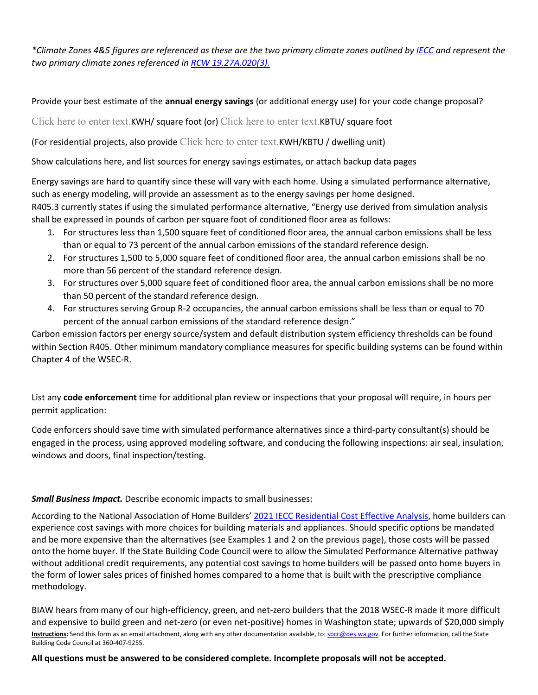*\*Climate Zones 4&5 figures are referenced as these are the two primary climate zones outlined by [IECC](https://basc.pnnl.gov/images/iecc-climate-zone-map) and represent the two primary climate zones referenced in [RCW 19.27A.020\(3\).](https://app.leg.wa.gov/rcw/default.aspx?cite=19.27A.020)* 

### Provide your best estimate of the **annual energy savings** (or additional energy use) for your code change proposal?

Click here to enter text.KWH/ square foot (or) Click here to enter text.KBTU/ square foot

(For residential projects, also provide Click here to enter text.KWH/KBTU / dwelling unit)

Show calculations here, and list sources for energy savings estimates, or attach backup data pages

Energy savings are hard to quantify since these will vary with each home. Using a simulated performance alternative, such as energy modeling, will provide an assessment as to the energy savings per home designed.

R405.3 currently states if using the simulated performance alternative, "Energy use derived from simulation analysis shall be expressed in pounds of carbon per square foot of conditioned floor area as follows:

- 1. For structures less than 1,500 square feet of conditioned floor area, the annual carbon emissions shall be less than or equal to 73 percent of the annual carbon emissions of the standard reference design.
- 2. For structures 1,500 to 5,000 square feet of conditioned floor area, the annual carbon emissions shall be no more than 56 percent of the standard reference design.
- 3. For structures over 5,000 square feet of conditioned floor area, the annual carbon emissions shall be no more than 50 percent of the standard reference design.
- 4. For structures serving Group R-2 occupancies, the annual carbon emissions shall be less than or equal to 70 percent of the annual carbon emissions of the standard reference design."

Carbon emission factors per energy source/system and default distribution system efficiency thresholds can be found within Section R405. Other minimum mandatory compliance measures for specific building systems can be found within Chapter 4 of the WSEC-R.

List any **code enforcement** time for additional plan review or inspections that your proposal will require, in hours per permit application:

Code enforcers should save time with simulated performance alternatives since a third-party consultant(s) should be engaged in the process, using approved modeling software, and conducing the following inspections: air seal, insulation, windows and doors, final inspection/testing.

### *Small Business Impact.* Describe economic impacts to small businesses:

According to the National Association of Home Builders' [2021 IECC Residential Cost Effective Analysis,](https://www.nahb.org/-/media/NAHB/advocacy/docs/top-priorities/codes/code-adoption/2021-iecc-cost-effectiveness-analysis-hirl.pdf) home builders can experience cost savings with more choices for building materials and appliances. Should specific options be mandated and be more expensive than the alternatives (see Examples 1 and 2 on the previous page), those costs will be passed onto the home buyer. If the State Building Code Council were to allow the Simulated Performance Alternative pathway without additional credit requirements, any potential cost savings to home builders will be passed onto home buyers in the form of lower sales prices of finished homes compared to a home that is built with the prescriptive compliance methodology.

**Instructions:** Send this form as an email attachment, along with any other documentation available, to: [sbcc@des.wa.gov.](mailto:sbcc@des.wa.gov) For further information, call the State Building Code Council at 360-407-9255. BIAW hears from many of our high-efficiency, green, and net-zero builders that the 2018 WSEC-R made it more difficult and expensive to build green and net-zero (or even net-positive) homes in Washington state; upwards of \$20,000 simply

**All questions must be answered to be considered complete. Incomplete proposals will not be accepted.**